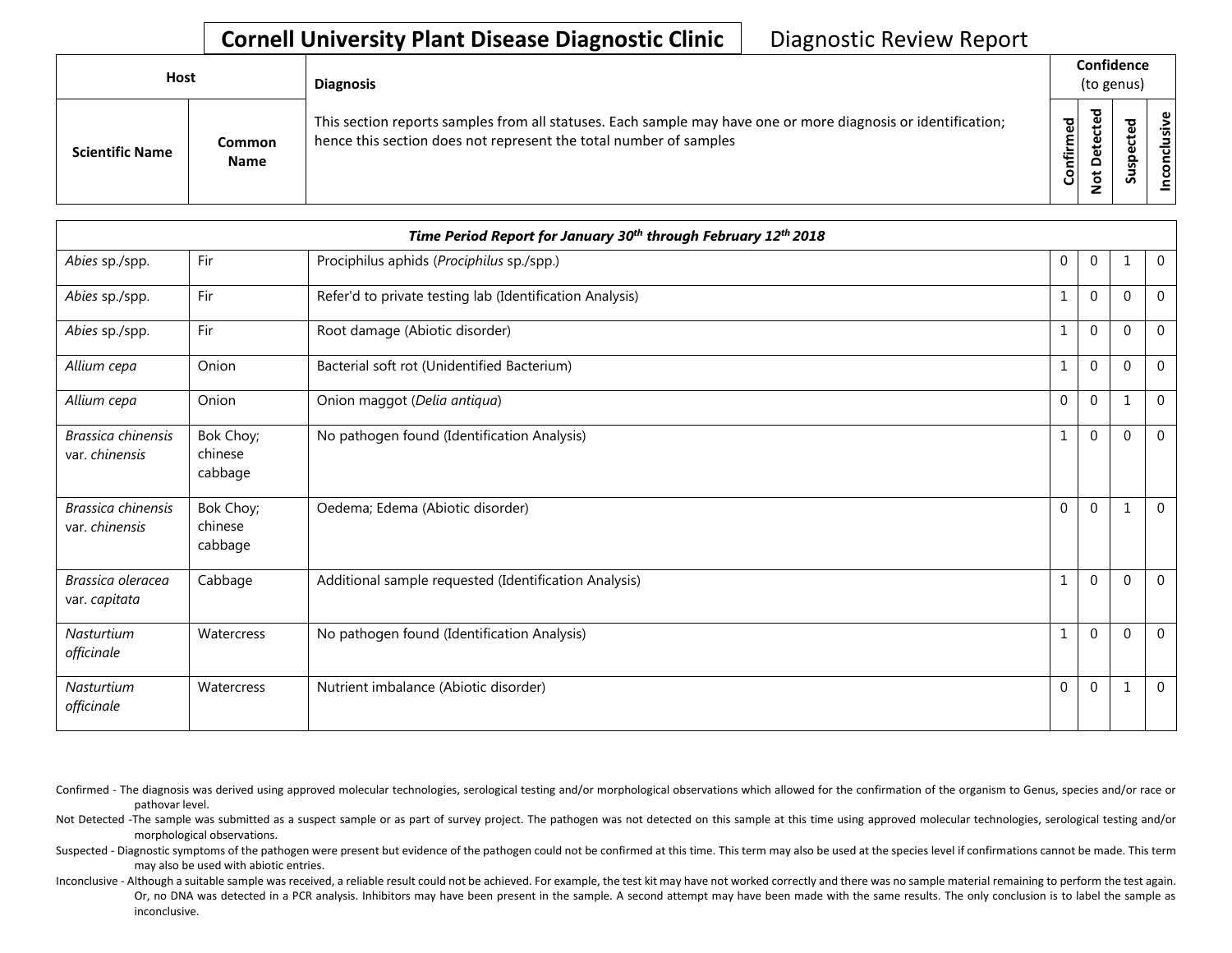## **Cornell University Plant Disease Diagnostic Clinic** | Diagnostic Review Report

| Host                   |                       | <b>Diagnosis</b>                                                                                                                                                                   |           | Confidence<br>(to genus)          |        |             |  |  |
|------------------------|-----------------------|------------------------------------------------------------------------------------------------------------------------------------------------------------------------------------|-----------|-----------------------------------|--------|-------------|--|--|
| <b>Scientific Name</b> | Common<br><b>Name</b> | This section reports samples from all statuses. Each sample may have one or more diagnosis or identification;<br>hence this section does not represent the total number of samples | Confirmed | ъ<br>ن<br>ω<br>یو<br>≏<br>ىپ<br>⇁ | ਠ<br>ທ | usive<br>᠊ᠣ |  |  |

|                                      |                                 | Time Period Report for January 30th through February 12th 2018 |              |                |          |                |
|--------------------------------------|---------------------------------|----------------------------------------------------------------|--------------|----------------|----------|----------------|
| Abies sp./spp.                       | Fir                             | Prociphilus aphids (Prociphilus sp./spp.)                      | $\mathbf 0$  | $\overline{0}$ |          | $\overline{0}$ |
| Abies sp./spp.                       | Fir                             | Refer'd to private testing lab (Identification Analysis)       | 1            | $\Omega$       | $\Omega$ | $\mathbf 0$    |
| Abies sp./spp.                       | Fir                             | Root damage (Abiotic disorder)                                 | $\mathbf{1}$ | $\mathbf 0$    | $\Omega$ | $\mathbf{0}$   |
| Allium cepa                          | Onion                           | Bacterial soft rot (Unidentified Bacterium)                    | 1            | $\mathbf 0$    | $\Omega$ | $\mathbf{0}$   |
| Allium cepa                          | Onion                           | Onion maggot (Delia antiqua)                                   | $\mathbf{0}$ | $\Omega$       |          | $\Omega$       |
| Brassica chinensis<br>var. chinensis | Bok Choy;<br>chinese<br>cabbage | No pathogen found (Identification Analysis)                    | $\mathbf{1}$ | $\mathbf 0$    | $\Omega$ | $\overline{0}$ |
| Brassica chinensis<br>var. chinensis | Bok Choy;<br>chinese<br>cabbage | Oedema; Edema (Abiotic disorder)                               | $\mathbf{0}$ | $\mathbf 0$    |          | $\mathbf 0$    |
| Brassica oleracea<br>var. capitata   | Cabbage                         | Additional sample requested (Identification Analysis)          | $\mathbf{1}$ | $\Omega$       | $\Omega$ | $\Omega$       |
| <b>Nasturtium</b><br>officinale      | Watercress                      | No pathogen found (Identification Analysis)                    | $\mathbf{1}$ | $\Omega$       | $\Omega$ | $\mathbf{0}$   |
| Nasturtium<br>officinale             | Watercress                      | Nutrient imbalance (Abiotic disorder)                          | $\Omega$     | $\Omega$       |          | $\overline{0}$ |

Confirmed - The diagnosis was derived using approved molecular technologies, serological testing and/or morphological observations which allowed for the confirmation of the organism to Genus, species and/or race or pathovar level.

Not Detected -The sample was submitted as a suspect sample or as part of survey project. The pathogen was not detected on this sample at this time using approved molecular technologies, serological testing and/or morphological observations.

Suspected - Diagnostic symptoms of the pathogen were present but evidence of the pathogen could not be confirmed at this time. This term may also be used at the species level if confirmations cannot be made. This term may also be used with abiotic entries.

Inconclusive - Although a suitable sample was received, a reliable result could not be achieved. For example, the test kit may have not worked correctly and there was no sample material remaining to perform the test again. Or, no DNA was detected in a PCR analysis. Inhibitors may have been present in the sample. A second attempt may have been made with the same results. The only conclusion is to label the sample as inconclusive.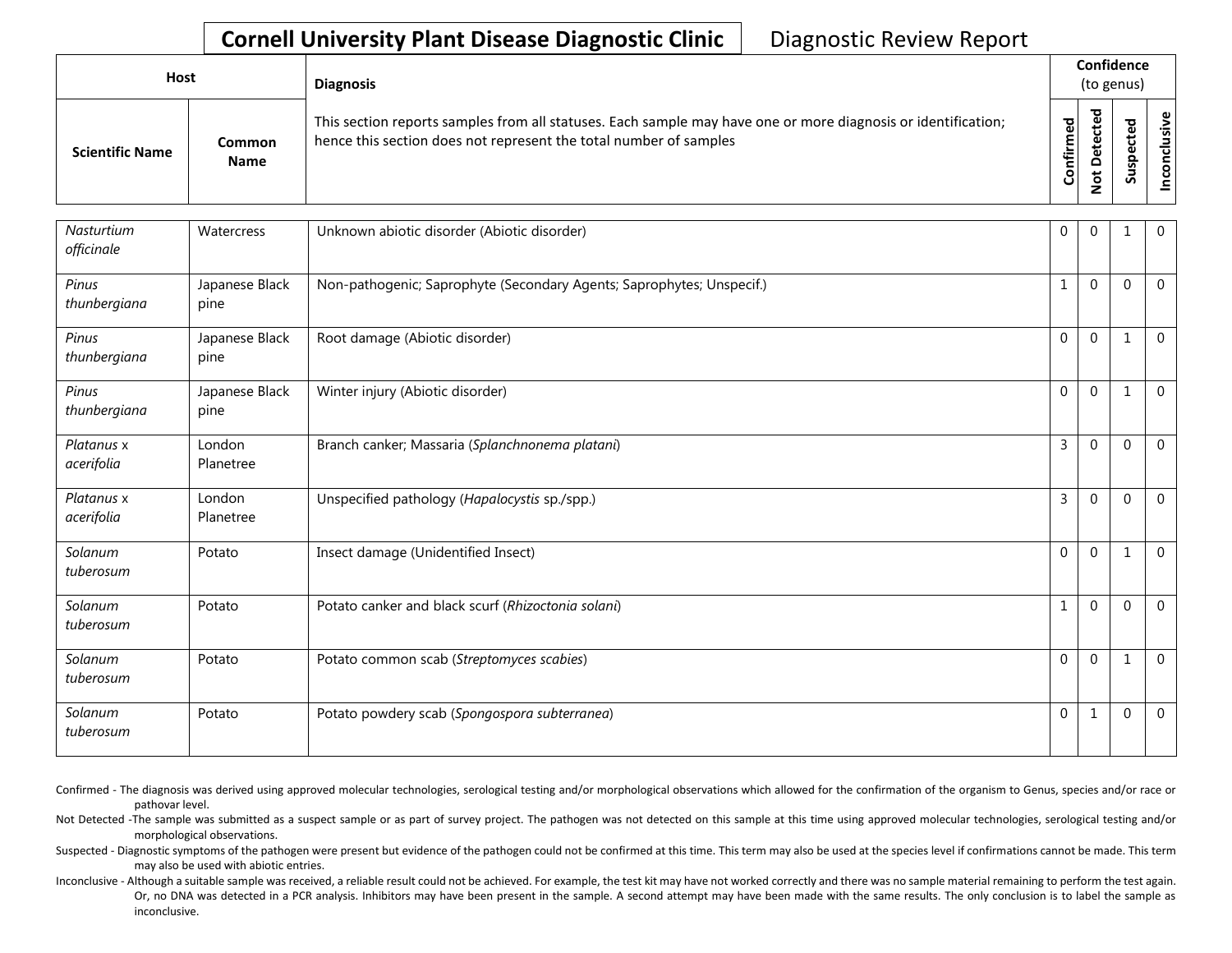## **Cornell University Plant Disease Diagnostic Clinic** | Diagnostic Review Report

| <b>Host</b>            |                       | <b>Diagnosis</b>                                                                                                                                                                   |                 |                                                  | Confidence<br>(to genus) |                          |
|------------------------|-----------------------|------------------------------------------------------------------------------------------------------------------------------------------------------------------------------------|-----------------|--------------------------------------------------|--------------------------|--------------------------|
| <b>Scientific Name</b> | Common<br><b>Name</b> | This section reports samples from all statuses. Each sample may have one or more diagnosis or identification;<br>hence this section does not represent the total number of samples | 꾕<br>Ĕ<br>Confi | ಕ<br>ω<br>ىد<br>ن<br>ω<br>پ<br>َف<br>۵<br>ŏ<br>ے | ∾<br>S                   | $\mathbf{\omega}$<br>siy |

| Nasturtium<br>officinale | Watercress             | Unknown abiotic disorder (Abiotic disorder)                           | 0              | $\Omega$ | 1            | $\mathbf{0}$   |
|--------------------------|------------------------|-----------------------------------------------------------------------|----------------|----------|--------------|----------------|
| Pinus<br>thunbergiana    | Japanese Black<br>pine | Non-pathogenic; Saprophyte (Secondary Agents; Saprophytes; Unspecif.) | 1              | $\Omega$ | $\Omega$     | $\mathbf 0$    |
| Pinus<br>thunbergiana    | Japanese Black<br>pine | Root damage (Abiotic disorder)                                        | $\Omega$       | $\Omega$ | 1            | $\mathbf{0}$   |
| Pinus<br>thunbergiana    | Japanese Black<br>pine | Winter injury (Abiotic disorder)                                      | $\Omega$       | $\Omega$ | $\mathbf 1$  | $\Omega$       |
| Platanus x<br>acerifolia | London<br>Planetree    | Branch canker; Massaria (Splanchnonema platani)                       | 3              | $\Omega$ | $\Omega$     | $\Omega$       |
| Platanus x<br>acerifolia | London<br>Planetree    | Unspecified pathology (Hapalocystis sp./spp.)                         | 3              | $\Omega$ | $\Omega$     | $\Omega$       |
| Solanum<br>tuberosum     | Potato                 | Insect damage (Unidentified Insect)                                   | $\overline{0}$ | $\Omega$ | 1            | $\overline{0}$ |
| Solanum<br>tuberosum     | Potato                 | Potato canker and black scurf (Rhizoctonia solani)                    | 1              | $\Omega$ | $\Omega$     | $\Omega$       |
| Solanum<br>tuberosum     | Potato                 | Potato common scab (Streptomyces scabies)                             | $\Omega$       | $\Omega$ | $\mathbf{1}$ | $\Omega$       |
| Solanum<br>tuberosum     | Potato                 | Potato powdery scab (Spongospora subterranea)                         | 0              | 1        | $\mathbf 0$  | $\overline{0}$ |

Confirmed - The diagnosis was derived using approved molecular technologies, serological testing and/or morphological observations which allowed for the confirmation of the organism to Genus, species and/or race or pathovar level.

Not Detected -The sample was submitted as a suspect sample or as part of survey project. The pathogen was not detected on this sample at this time using approved molecular technologies, serological testing and/or morphological observations.

Suspected - Diagnostic symptoms of the pathogen were present but evidence of the pathogen could not be confirmed at this time. This term may also be used at the species level if confirmations cannot be made. This term may also be used with abiotic entries.

Inconclusive - Although a suitable sample was received, a reliable result could not be achieved. For example, the test kit may have not worked correctly and there was no sample material remaining to perform the test again. Or, no DNA was detected in a PCR analysis. Inhibitors may have been present in the sample. A second attempt may have been made with the same results. The only conclusion is to label the sample as inconclusive.